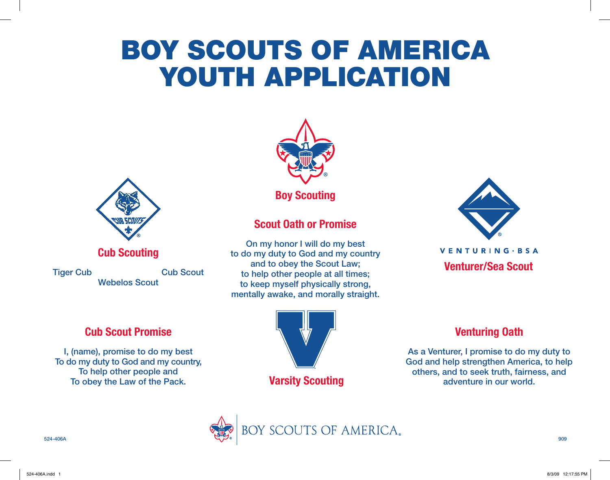# BOY SCOUTS OF AMERICA YOUTH APPLICATION



**Boy Scouting**

# **Scout Oath or Promise**

On my honor I will do my best to do my duty to God and my country and to obey the Scout Law; to help other people at all times; to keep myself physically strong, mentally awake, and morally straight.



**Venturer/Sea Scout**

# **Cub Scouting**

Tiger Cub Cub Scout Webelos Scout

# **Cub Scout Promise**

I, (name), promise to do my best To do my duty to God and my country, To help other people and To obey the Law of the Pack.



**Varsity Scouting**

# **Venturing Oath**

As a Venturer, I promise to do my duty to God and help strengthen America, to help others, and to seek truth, fairness, and adventure in our world.

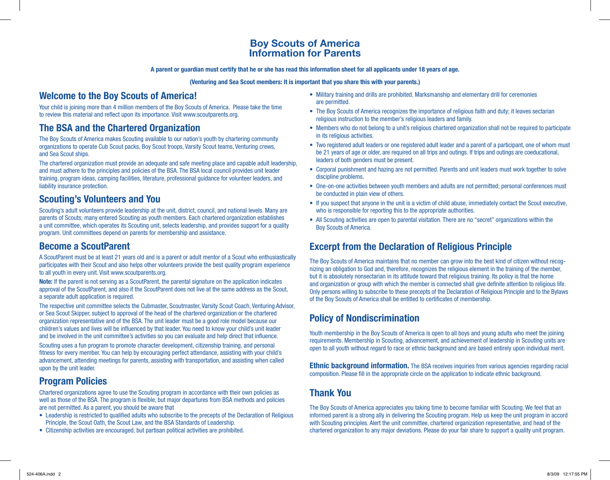#### **Boy Scouts of America Information for Parents**

**A parent or guardian must certify that he or she has read this information sheet for all applicants under 18 years of age.**

#### **(Venturing and Sea Scout members: It is important that you share this with your parents.)**

#### **Welcome to the Boy Scouts of America!**

Your child is joining more than 4 million members of the Boy Scouts of America. Please take the time to review this material and reflect upon its importance. Visit www.scoutparents.org.

#### **The BSA and the Chartered Organization**

The Boy Scouts of America makes Scouting available to our nation's youth by chartering community organizations to operate Cub Scout packs, Boy Scout troops, Varsity Scout teams, Venturing crews, and Sea Scout ships.

The chartered organization must provide an adequate and safe meeting place and capable adult leadership, and must adhere to the principles and policies of the BSA. The BSA local council provides unit leader training, program ideas, camping facilities, literature, professional guidance for volunteer leaders, and liability insurance protection.

#### **Scouting's Volunteers and You**

Scouting's adult volunteers provide leadership at the unit, district, council, and national levels. Many are parents of Scouts; many entered Scouting as youth members. Each chartered organization establishes a unit committee, which operates its Scouting unit, selects leadership, and provides support for a quality program. Unit committees depend on parents for membership and assistance.

#### **Become a ScoutParent**

A ScoutParent must be at least 21 years old and is a parent or adult mentor of a Scout who enthusiastically participates with their Scout and also helps other volunteers provide the best quality program experience to all youth in every unit. Visit www.scoutparents.org.

**Note:** If the parent is not serving as a ScoutParent, the parental signature on the application indicates approval of the ScoutParent, and also if the ScoutParent does not live at the same address as the Scout, a separate adult application is required.

The respective unit committee selects the Cubmaster, Scoutmaster, Varsity Scout Coach, Venturing Advisor, or Sea Scout Skipper, subject to approval of the head of the chartered organization or the chartered organization representative and of the BSA. The unit leader must be a good role model because our children's values and lives will be influenced by that leader. You need to know your child's unit leader and be involved in the unit committee's activities so you can evaluate and help direct that influence.

Scouting uses a fun program to promote character development, citizenship training, and personal fitness for every member. You can help by encouraging perfect attendance, assisting with your child's advancement, attending meetings for parents, assisting with transportation, and assisting when called upon by the unit leader.

#### **Program Policies**

Chartered organizations agree to use the Scouting program in accordance with their own policies as well as those of the BSA. The program is flexible, but major departures from BSA methods and policies are not permitted. As a parent, you should be aware that

- Leadership is restricted to qualified adults who subscribe to the precepts of the Declaration of Religious Principle, the Scout Oath, the Scout Law, and the BSA Standards of Leadership.
- Citizenship activities are encouraged, but partisan political activities are prohibited.
- Military training and drills are prohibited. Marksmanship and elementary drill for ceremonies are permitted.
- The Boy Scouts of America recognizes the importance of religious faith and duty; it leaves sectarian religious instruction to the member's religious leaders and family.
- Members who do not belong to a unit's religious chartered organization shall not be required to participate in its religious activities.
- Two registered adult leaders or one registered adult leader and a parent of a participant, one of whom must be 21 years of age or older, are required on all trips and outings. If trips and outings are coeducational, leaders of both genders must be present.
- Corporal punishment and hazing are not permitted. Parents and unit leaders must work together to solve discipline problems.
- One-on-one activities between youth members and adults are not permitted; personal conferences must be conducted in plain view of others.
- If you suspect that anyone in the unit is a victim of child abuse, immediately contact the Scout executive, who is responsible for reporting this to the appropriate authorities.
- All Scouting activities are open to parental visitation. There are no "secret" organizations within the Boy Scouts of America.

### **Excerpt from the Declaration of Religious Principle**

The Boy Scouts of America maintains that no member can grow into the best kind of citizen without recog nizing an obligation to God and, therefore, recognizes the religious element in the training of the member, but it is absolutely nonsectarian in its attitude toward that religious training. Its policy is that the home and organization or group with which the member is connected shall give definite attention to religious life. Only persons willing to subscribe to these precepts of the Declaration of Religious Principle and to the Bylaws of the Boy Scouts of America shall be entitled to certificates of membership.

#### **Policy of Nondiscrimination**

Youth membership in the Boy Scouts of America is open to all boys and young adults who meet the joining requirements. Membership in Scouting, advancement, and achievement of leadership in Scouting units are open to all youth without regard to race or ethnic background and are based entirely upon individual merit.

**Ethnic background information.** The BSA receives inquiries from various agencies regarding racial composition. Please fill in the appropriate circle on the application to indicate ethnic background.

#### **Thank You**

The Boy Scouts of America appreciates you taking time to become familiar with Scouting. We feel that an informed parent is a strong ally in delivering the Scouting program. Help us keep the unit program in accord with Scouting principles. Alert the unit committee, chartered organization representative, and head of the chartered organization to any major deviations. Please do your fair share to support a quality unit program.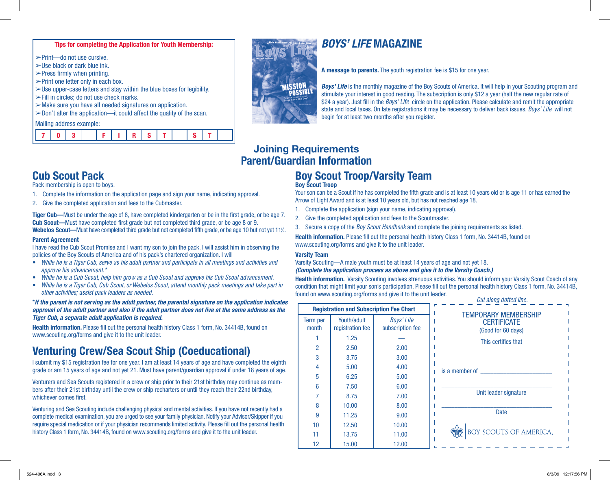#### **Tips for completing the Application for Youth Membership:**

 $\blacktriangleright$ Print—do not use cursive.

- $\geq$ Use black or dark blue ink.
- $\blacktriangleright$ Press firmly when printing.
- $\blacktriangleright$ Print one letter only in each box.
- $>$ Use upper-case letters and stay within the blue boxes for legibility.
- $\blacktriangleright$  Fill in circles; do not use check marks.
- Ä-Make sure you have all needed signatures on application.
- $\geq$ Don't alter the application—it could affect the quality of the scan.

Mailing address example:



#### **BOYS' LIFE MAGAZINE**

**A message to parents.** The youth registration fee is \$15 for one year.

**Boys' Life** is the monthly magazine of the Boy Scouts of America. It will help in your Scouting program and stimulate your interest in good reading. The subscription is only \$12 a year (half the new regular rate of \$24 a year). Just fill in the *Boys' Life* circle on the application. Please calculate and remit the appropriate state and local taxes. On late registrations it may be necessary to deliver back issues. Boys' Life will not begin for at least two months after you register.

### **Joining Requirements Parent/Guardian Information**

## **Boy Scout Troop/Varsity Team**

#### **Boy Scout Troop**

Your son can be a Scout if he has completed the fifth grade and is at least 10 years old or is age 11 or has earned the Arrow of Light Award and is at least 10 years old, but has not reached age 18.

- 1. Complete the application (sign your name, indicating approval).
- 2. Give the completed application and fees to the Scoutmaster.
- 3. Secure a copy of the *Boy Scout Handbook* and complete the joining requirements as listed.

**Health information.** Please fill out the personal health history Class 1 form, No. 34414B, found on www.scouting.org/forms and give it to the unit leader.

#### **Varsity Team**

Varsity Scouting—A male youth must be at least 14 years of age and not yet 18. **(Complete the application process as above and give it to the Varsity Coach.)**

**Health information.** Varsity Scouting involves strenuous activities. You should inform your Varsity Scout Coach of any condition that might limit your son's participation. Please fill out the personal health history Class 1 form, No. 34414B, found on www.scouting.org/forms and give it to the unit leader. Cut along dotted line

|                   |                                                |                                | <b>UUL AIVIIY AVILUA IIIIV.</b>          |
|-------------------|------------------------------------------------|--------------------------------|------------------------------------------|
|                   | <b>Registration and Subscription Fee Chart</b> |                                | <b>TEMPORARY MEMBERSHIP</b>              |
| Term per<br>month | Youth/adult<br>registration fee                | Boys' Life<br>subscription fee | <b>CERTIFICATE</b><br>(Good for 60 days) |
|                   | 1.25                                           |                                | This certifies that                      |
| $\overline{2}$    | 2.50                                           | 2.00                           |                                          |
| 3                 | 3.75                                           | 3.00                           |                                          |
| 4                 | 5.00                                           | 4.00                           | is a member of                           |
| 5                 | 6.25                                           | 5.00                           |                                          |
| 6                 | 7.50                                           | 6.00                           |                                          |
|                   | 8.75                                           | 7.00                           | Unit leader signature                    |
| 8                 | 10.00                                          | 8.00                           |                                          |
| 9                 | 11.25                                          | 9.00                           | <b>Date</b>                              |
| 10                | 12.50                                          | 10.00                          |                                          |
| 11                | 13.75                                          | 11.00                          | <b>BOY SCOUTS OF AMERICA.</b>            |
| 12                | 15.00                                          | 12.00                          |                                          |

### **Cub Scout Pack**

Pack membership is open to boys.

- 1. Complete the information on the application page and sign your name, indicating approval.
- 2. Give the completed application and fees to the Cubmaster.

**Tiger Cub—**Must be under the age of 8, have completed kindergarten or be in the first grade, or be age 7. **Cub Scout—**Must have completed first grade but not completed third grade, or be age 8 or 9. Webelos Scout—Must have completed third grade but not completed fifth grade, or be age 10 but not yet 11<sup>/2</sup>.

#### **Parent Agreement**

I have read the Cub Scout Promise and I want my son to join the pack. I will assist him in observing the policies of the Boy Scouts of America and of his pack's chartered organization. I will

- While he is a Tiger Cub, serve as his adult partner and participate in all meetings and activities and <sup>a</sup>pprov<sup>e</sup> hi<sup>s</sup> <sup>a</sup>dvancement.\*
- While he is a Cub Scout, help him grow as a Cub Scout and approve his Cub Scout advancement.
- While he is a Tiger Cub, Cub Scout, or Webelos Scout, attend monthly pack meetings and take part in <sup>o</sup>the<sup>r</sup> <sup>a</sup>ctivities; <sup>a</sup>ssist pack leader<sup>s</sup> <sup>a</sup><sup>s</sup> <sup>n</sup>eeded.

#### \***If the parent is not serving as the adult partner, the parental signature on the application indicates approval of the adult partner and also if the adult partner does not live at the same address as the Tiger Cub, a separate adult application is required.**

**Health information.** Please fill out the personal health history Class 1 form, No. 34414B, found on www.scouting.org/forms and give it to the unit leader.

# **Venturing Crew/Sea Scout Ship (Coeducational)**

I submit my \$15 registration fee for one year. I am at least 14 years of age and have completed the eighth grade or am 15 years of age and not yet 21. Must have parent/guardian approval if under 18 years of age.

Venturers and Sea Scouts registered in a crew or ship prior to their 21st birthday may continue as mem bers after their 21st birthday until the crew or ship recharters or until they reach their 22nd birthday, whichever comes first.

Venturing and Sea Scouting include challenging physical and mental activities. If you have not recently had a complete medical examination, you are urged to see your family physician. Notify your Advisor/Skipper if you require special medication or if your physician recommends limited activity. Please fill out the personal health history Class 1 form, No. 34414B, found on www.scouting.org/forms and give it to the unit leader.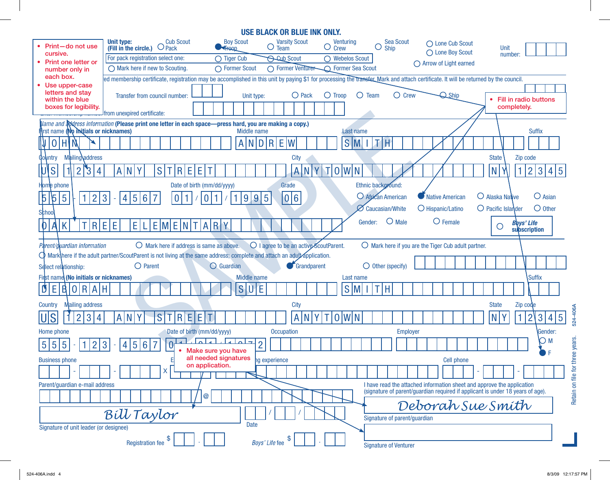|                                                          |                                                                                                                                                                                     |                                    | <b>USE BLACK OR BLUE INK ONLY.</b>     |                              |                                     |                                                                        |                                                                                             |
|----------------------------------------------------------|-------------------------------------------------------------------------------------------------------------------------------------------------------------------------------------|------------------------------------|----------------------------------------|------------------------------|-------------------------------------|------------------------------------------------------------------------|---------------------------------------------------------------------------------------------|
| Print-do not use<br>cursive.                             | <b>Cub Scout</b><br><b>Unit type:</b><br>(Fill in the circle.) $O$ Pack                                                                                                             | <b>Boy Scout</b><br><b>A</b> Freep | <b>Varsity Scout</b><br>$O$ Team       | <b>Venturing</b><br>$O$ Crew | Sea Scout<br>$\circ$<br><b>Ship</b> | ◯ Lone Cub Scout<br>◯ Lone Boy Scout                                   | Unit<br>number:                                                                             |
| <b>Print one letter or</b>                               | For pack registration select one:                                                                                                                                                   | $\bigcap$ Tiger Cub                | <b>A Cub Scout</b>                     | ◯ Webelos Scout              |                                     | $\bigcirc$ Arrow of Light earned                                       |                                                                                             |
| number only in<br>each box.                              | ◯ Mark here if new to Scouting.                                                                                                                                                     | ◯ Former Scout                     | ◯ Former Venturer                      | <b>C</b> Former Sea Scout    |                                     |                                                                        |                                                                                             |
| Use upper-case                                           | ed membership certificate, registration may be accomplished in this unit by paying \$1 for processing the transfer Mark and attach certificate. It will be returned by the council. |                                    |                                        |                              |                                     |                                                                        |                                                                                             |
| letters and stay                                         | Transfer from council number:                                                                                                                                                       | Unit type:                         | $\bigcirc$ Pack                        | $\circ$<br><b>Troop</b>      | $\bigcirc$ Crew<br>$\bigcirc$ Team  | $Q$ Ship                                                               |                                                                                             |
| within the blue<br>boxes for legibility.                 |                                                                                                                                                                                     |                                    |                                        |                              |                                     |                                                                        | • Fill in radio buttons<br>completely.                                                      |
|                                                          | from unexpired certificate:                                                                                                                                                         |                                    |                                        |                              |                                     |                                                                        |                                                                                             |
| irst name (No initials or nicknames)                     | Vame and <b>Nodress information (Please print one letter in each space—press hard, you are making a copy.)</b>                                                                      | Middle name                        |                                        | Last name                    |                                     |                                                                        | <b>Suffix</b>                                                                               |
| HIN<br>$\boldsymbol{0}$                                  |                                                                                                                                                                                     | A<br>N                             | D R <br>$E$ W                          | S M                          | H                                   |                                                                        |                                                                                             |
| Mailing\address<br><b>Jountry</b>                        |                                                                                                                                                                                     |                                    | City                                   |                              |                                     |                                                                        | <b>State</b><br>Zip code                                                                    |
| S<br>ზ<br>$\overline{2}$<br>4                            | S<br>$R$ $E$<br>IN<br>$\mathsf{A}$                                                                                                                                                  | IE.                                | $\mathsf{A}$<br>N                      | Y<br>T 0 W N                 |                                     |                                                                        | $\overline{2}$<br>$ 3\rangle$<br>N<br>$\mathbf{1}$<br><b>5</b><br>4                         |
|                                                          |                                                                                                                                                                                     |                                    |                                        |                              |                                     |                                                                        |                                                                                             |
| Home phone                                               |                                                                                                                                                                                     | Date of birth (mm/dd/yyyy)         | Grade                                  |                              | Ethnic background:                  |                                                                        |                                                                                             |
| $\overline{5}$<br>$\sqrt{5}$<br>1 2 <br>$\overline{b}$   | 3 <sup>1</sup><br>4 5 <br> 6 <br>$\overline{7}$<br> 0 1                                                                                                                             | 9 9 5<br>$\boldsymbol{0}$          | 0 6                                    |                              | O African American                  | Native American                                                        | $O$ Asian<br>O Alaska Native                                                                |
| School                                                   |                                                                                                                                                                                     |                                    |                                        |                              | $\emptyset$ Caucasian/White         | O Hispanic/Latino                                                      | $\bigcirc$ Other<br>$\bigcirc$ Pacific Islander                                             |
| R[E]<br>K<br>$\mathcal{A}^*$                             | $E$ M $E$ N $T$ $A$ $R$ $Y$<br>Ε<br>E.                                                                                                                                              |                                    |                                        |                              | $\bigcirc$ Male<br>Gender:          | O Female                                                               | <b>Boys' Life</b><br>O                                                                      |
|                                                          |                                                                                                                                                                                     |                                    |                                        |                              |                                     |                                                                        | subscription                                                                                |
|                                                          |                                                                                                                                                                                     |                                    |                                        |                              |                                     |                                                                        |                                                                                             |
| Parent/guardian information                              | $\bigcirc$ Mark here if address is same as above.                                                                                                                                   |                                    | O I agree to be an active ScoutParent. |                              |                                     | $\bigcirc$ Mark here if you are the Tiger Cub adult partner.           |                                                                                             |
|                                                          | $\bigcirc$ Mark\here if the adult partner/ScoutParent is not living at the same address; complete and attach an adult application.                                                  |                                    |                                        |                              |                                     |                                                                        |                                                                                             |
| Select relationship:                                     | $\bigcirc$ Parent                                                                                                                                                                   | $\bigcirc$ Guardian                | Grandparent                            |                              | $\bigcirc$ Other (specify)          |                                                                        |                                                                                             |
| First name (No initials or nicknames)                    |                                                                                                                                                                                     | <b>Middle name</b>                 |                                        | Last name                    |                                     |                                                                        | <b>Suffix</b>                                                                               |
| 0 R<br>E<br>B<br> A H                                    |                                                                                                                                                                                     | S<br>$\mathbf U$                   | Έ                                      | S<br>M                       | H                                   |                                                                        |                                                                                             |
| Mailing address<br>Country                               |                                                                                                                                                                                     |                                    | City                                   |                              |                                     |                                                                        | <b>State</b><br>Zip code                                                                    |
| U S<br>3<br>$\overline{2}$<br>4                          | S<br>R<br>l El<br>IN<br>A                                                                                                                                                           | E                                  | A                                      | $ 0 $ W $ N $                |                                     |                                                                        | $5\overline{5}$<br>1<br>3<br>$\overline{2}$<br>N<br>$\overline{4}$                          |
| Home phone                                               |                                                                                                                                                                                     | Date of birth (mm/dd/yyyy)         | <b>Occupation</b>                      |                              | Employer                            |                                                                        | <b>24-406A</b><br>Gender:                                                                   |
|                                                          |                                                                                                                                                                                     | $\rightarrow$                      |                                        |                              |                                     |                                                                        | OМ                                                                                          |
| 5<br>5 <sup>5</sup><br>$5\overline{)}$<br>$\overline{2}$ | $6\phantom{a}$<br>$\overline{5}$<br>3<br>4                                                                                                                                          | Make sure you have                 | $\overline{2}$                         |                              |                                     |                                                                        | years.                                                                                      |
| <b>Business phone</b>                                    |                                                                                                                                                                                     | all needed signatures              | hg experience                          |                              |                                     | <b>Cell phone</b>                                                      |                                                                                             |
|                                                          | х                                                                                                                                                                                   | on application.                    |                                        |                              |                                     |                                                                        |                                                                                             |
| Parent/guardian e-mail address                           |                                                                                                                                                                                     |                                    |                                        |                              |                                     | I have read the attached information sheet and approve the application | file for three                                                                              |
|                                                          |                                                                                                                                                                                     | $\circleda$                        |                                        |                              |                                     |                                                                        | Retain on<br>(signature of parent/guardian required if applicant is under 18 years of age). |
|                                                          | Bill Taylor                                                                                                                                                                         |                                    |                                        |                              | Signature of parent/guardian        | Deborah Sue Smíth                                                      |                                                                                             |
| Signature of unit leader (or designee)                   |                                                                                                                                                                                     | Date                               |                                        |                              |                                     |                                                                        |                                                                                             |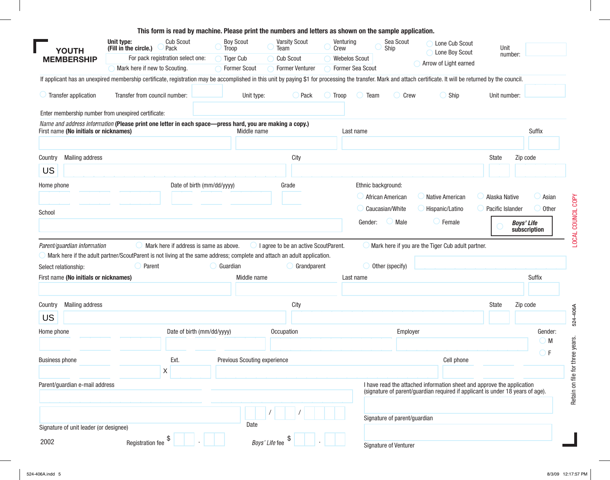| YOUTH                                                               | Unit type:<br><b>Cub Scout</b><br>(Fill in the circle.) O Pack                                                                                                                                                  | <b>Boy Scout</b><br>$\bigcup$ Troop | <b>Varsity Scout</b><br>$\mathbf{\mathsf{O}}$ Team | Venturing<br>$\bigcirc$ Crew |                    | Sea Scout<br>$\bullet$ Ship  | O Lone Cub Scout                                                                  | Unit               |                                   |
|---------------------------------------------------------------------|-----------------------------------------------------------------------------------------------------------------------------------------------------------------------------------------------------------------|-------------------------------------|----------------------------------------------------|------------------------------|--------------------|------------------------------|-----------------------------------------------------------------------------------|--------------------|-----------------------------------|
| <b>MEMBERSHIP</b>                                                   | For pack registration select one:                                                                                                                                                                               | ◯ Tiger Cub                         | C Cub Scout                                        | Webelos Scout                |                    |                              | O Lone Boy Scout                                                                  | number:            |                                   |
|                                                                     | ◯ Mark here if new to Scouting.                                                                                                                                                                                 | <b>O</b> Former Scout               | <b>O</b> Former Venturer                           | <b>O</b> Former Sea Scout    |                    |                              | Arrow of Light earned                                                             |                    |                                   |
|                                                                     | If applicant has an unexpired membership certificate, registration may be accomplished in this unit by paying \$1 for processing the transfer. Mark and attach certificate. It will be returned by the council. |                                     |                                                    |                              |                    |                              |                                                                                   |                    |                                   |
| <b>O</b> Transfer application                                       | Transfer from council number:                                                                                                                                                                                   | Unit type:                          | $Q$ Pack                                           | $\bigcirc$ Troop             | $\bigcirc$ Team    | $\bigcirc$ Crew              | $\bigcirc$ Ship                                                                   | Unit number:       |                                   |
|                                                                     | Enter membership number from unexpired certificate:                                                                                                                                                             |                                     |                                                    |                              |                    |                              |                                                                                   |                    |                                   |
| First name (No initials or nicknames)                               | Name and address information (Please print one letter in each space-press hard, you are making a copy.)                                                                                                         | Middle name                         |                                                    |                              | Last name          |                              |                                                                                   |                    | Suffix                            |
|                                                                     |                                                                                                                                                                                                                 |                                     |                                                    |                              |                    |                              |                                                                                   |                    |                                   |
| Mailing address<br>Country                                          |                                                                                                                                                                                                                 |                                     | City                                               |                              |                    |                              |                                                                                   | State              | Zip code                          |
| US                                                                  |                                                                                                                                                                                                                 |                                     |                                                    |                              |                    |                              |                                                                                   |                    |                                   |
| Home phone                                                          | Date of birth (mm/dd/yyyy)                                                                                                                                                                                      |                                     | Grade                                              |                              | Ethnic background: |                              |                                                                                   |                    |                                   |
|                                                                     |                                                                                                                                                                                                                 |                                     |                                                    |                              | O African American |                              | O Native American                                                                 | O Alaska Native    | O Asian                           |
|                                                                     |                                                                                                                                                                                                                 |                                     |                                                    |                              | O Caucasian/White  |                              | O Hispanic/Latino                                                                 | O Pacific Islander | $\bullet$ Other                   |
|                                                                     |                                                                                                                                                                                                                 |                                     |                                                    |                              |                    |                              |                                                                                   |                    |                                   |
|                                                                     | $\bigcirc$ Mark here if address is same as above.<br>$\bigcirc$ Mark here if the adult partner/ScoutParent is not living at the same address; complete and attach an adult application.                         |                                     | $\bigcirc$ I agree to be an active ScoutParent.    |                              | Gender:            | $O$ Male                     | $\bigcirc$ Female<br>$\bigcirc$ Mark here if you are the Tiger Cub adult partner. | $\circ$            | <b>Boys' Life</b><br>subscription |
| School<br>Parent/guardian information<br>Select relationship:       | O Parent                                                                                                                                                                                                        | $\bigcirc$ Guardian                 | Grandparent                                        |                              |                    | O Other (specify)            |                                                                                   |                    |                                   |
|                                                                     |                                                                                                                                                                                                                 | Middle name                         |                                                    |                              | Last name          |                              |                                                                                   |                    | Suffix                            |
| First name (No initials or nicknames)<br>Mailing address<br>Country |                                                                                                                                                                                                                 |                                     | City                                               |                              |                    |                              |                                                                                   | State              | Zip code                          |
| <b>US</b>                                                           |                                                                                                                                                                                                                 |                                     |                                                    |                              |                    |                              |                                                                                   |                    |                                   |
| Home phone                                                          | Date of birth (mm/dd/yyyy)                                                                                                                                                                                      |                                     | Occupation                                         |                              |                    | Employer                     |                                                                                   |                    | Gender:                           |
|                                                                     |                                                                                                                                                                                                                 |                                     |                                                    |                              |                    |                              |                                                                                   |                    | OM                                |
|                                                                     |                                                                                                                                                                                                                 |                                     |                                                    |                              |                    |                              |                                                                                   |                    | OF                                |
| <b>Business phone</b>                                               | Ext.                                                                                                                                                                                                            | Previous Scouting experience        |                                                    |                              |                    |                              | Cell phone                                                                        |                    |                                   |
|                                                                     | X                                                                                                                                                                                                               |                                     |                                                    |                              |                    |                              | I have read the attached information sheet and approve the application            |                    |                                   |
|                                                                     |                                                                                                                                                                                                                 |                                     |                                                    |                              |                    |                              | (signature of parent/guardian required if applicant is under 18 years of age).    |                    |                                   |
| Parent/guardian e-mail address                                      |                                                                                                                                                                                                                 |                                     |                                                    |                              |                    |                              |                                                                                   |                    |                                   |
| Signature of unit leader (or designee)                              |                                                                                                                                                                                                                 | Date                                |                                                    |                              |                    | Signature of parent/guardian |                                                                                   |                    |                                   |
| 2002                                                                | <b>Registration fee</b>                                                                                                                                                                                         |                                     | $\mathfrak{S}$<br>Boys' Life fee                   |                              |                    | Signature of Venturer        |                                                                                   |                    |                                   |